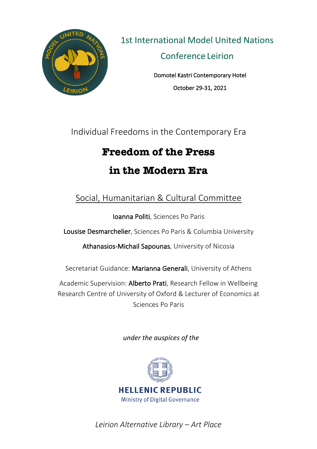

1st International Model United Nations Conference Leirion

> Domotel Kastri Contemporary Hotel October 29-31, 2021

Individual Freedoms in the Contemporary Era

# **Freedom of the Press in the Modern Era**

## Social, Humanitarian & Cultural Committee

Ioanna Politi, Sciences Po Paris

Lousise Desmarchelier, Sciences Po Paris & Columbia University

Athanasios-Michail Sapounas, University of Nicosia

Secretariat Guidance: Marianna Generali, University of Athens

Academic Supervision: Alberto Prati, Research Fellow in Wellbeing Research Centre of University of Oxford & Lecturer of Economics at Sciences Po Paris

*under the auspices of the* 



*Leirion Alternative Library – Art Place*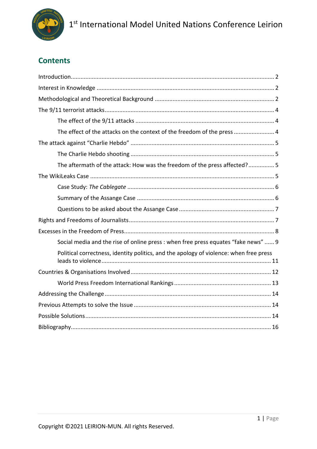

## **Contents**

| The effect of the attacks on the context of the freedom of the press  4                |  |  |  |
|----------------------------------------------------------------------------------------|--|--|--|
|                                                                                        |  |  |  |
|                                                                                        |  |  |  |
| The aftermath of the attack: How was the freedom of the press affected?5               |  |  |  |
|                                                                                        |  |  |  |
|                                                                                        |  |  |  |
|                                                                                        |  |  |  |
|                                                                                        |  |  |  |
|                                                                                        |  |  |  |
|                                                                                        |  |  |  |
| Social media and the rise of online press : when free press equates "fake news"  9     |  |  |  |
| Political correctness, identity politics, and the apology of violence: when free press |  |  |  |
|                                                                                        |  |  |  |
|                                                                                        |  |  |  |
|                                                                                        |  |  |  |
|                                                                                        |  |  |  |
|                                                                                        |  |  |  |
|                                                                                        |  |  |  |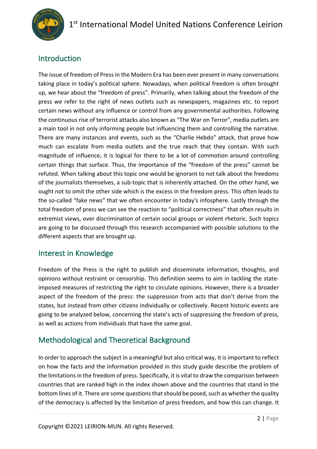

## Introduction

The issue of freedom of Press in the Modern Era has been ever present in many conversations taking place in today's political sphere. Nowadays, when political freedom is often brought up, we hear about the "freedom of press". Primarily, when talking about the freedom of the press we refer to the right of news outlets such as newspapers, magazines etc. to report certain news without any influence or control from any governmental authorities. Following the continuous rise of terrorist attacks also known as "The War on Terror", media outlets are a main tool in not only informing people but influencing them and controlling the narrative. There are many instances and events, such as the "Charlie Hebdo" attack, that prove how much can escalate from media outlets and the true reach that they contain. With such magnitude of influence, it is logical for there to be a lot of commotion around controlling certain things that surface. Thus, the importance of the "freedom of the press" cannot be refuted. When talking about this topic one would be ignorant to not talk about the freedoms of the journalists themselves, a sub-topic that is inherently attached. On the other hand, we ought not to omit the other side which is the excess in the freedom press. This often leads to the so-called "fake news" that we often encounter in today's infosphere. Lastly through the total freedom of press we can see the reaction to "political correctness" that often results in extremist views, over discrimination of certain social groups or violent rhetoric. Such topics are going to be discussed through this research accompanied with possible solutions to the different aspects that are brought up.

## Interest in Knowledge

Freedom of the Press is the right to publish and disseminate information, thoughts, and opinions without restraint or censorship. This definition seems to aim in tackling the stateimposed measures of restricting the right to circulate opinions. However, there is a broader aspect of the freedom of the press: the suppression from acts that don't derive from the states, but instead from other citizens individually or collectively. Recent historic events are going to be analyzed below, concerning the state's acts of suppressing the freedom of press, as well as actions from individuals that have the same goal.

## Methodological and Theoretical Background

In order to approach the subject in a meaningful but also critical way, it is important to reflect on how the facts and the information provided in this study guide describe the problem of the limitations in the freedom of press. Specifically, it is vital to draw the comparison between countries that are ranked high in the index shown above and the countries that stand in the bottom lines of it. There are some questions that should be posed, such as whether the quality of the democracy is affected by the limitation of press freedom, and how this can change. It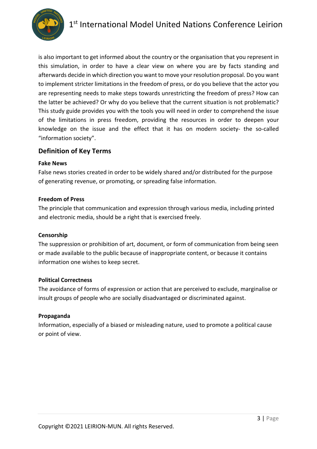

is also important to get informed about the country or the organisation that you represent in this simulation, in order to have a clear view on where you are by facts standing and afterwards decide in which direction you want to move your resolution proposal. Do you want to implement stricter limitations in the freedom of press, or do you believe that the actor you are representing needs to make steps towards unrestricting the freedom of press? How can the latter be achieved? Or why do you believe that the current situation is not problematic? This study guide provides you with the tools you will need in order to comprehend the issue of the limitations in press freedom, providing the resources in order to deepen your knowledge on the issue and the effect that it has on modern society- the so-called "information society".

#### **Definition of Key Terms**

#### **Fake News**

False news stories created in order to be widely shared and/or distributed for the purpose of generating revenue, or promoting, or spreading false information.

#### **Freedom of Press**

The principle that communication and expression through various media, including printed and electronic media, should be a right that is exercised freely.

#### **Censorship**

The suppression or prohibition of art, document, or form of communication from being seen or made available to the public because of inappropriate content, or because it contains information one wishes to keep secret.

#### **Political Correctness**

The avoidance of forms of expression or action that are perceived to exclude, marginalise or insult groups of people who are socially disadvantaged or discriminated against.

#### **Propaganda**

Information, especially of a biased or misleading nature, used to promote a political cause or point of view.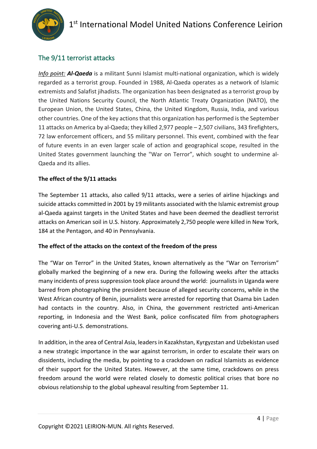

## The 9/11 terrorist attacks

*Info point: Al-Qaeda* is a militant Sunni Islamist multi-national organization, which is widely regarded as a terrorist group. Founded in 1988, Al-Qaeda operates as a network of Islamic extremists and Salafist jihadists. The organization has been designated as a terrorist group by the United Nations Security Council, the North Atlantic Treaty Organization (NATO), the European Union, the United States, China, the United Kingdom, Russia, India, and various other countries. One of the key actions that this organization has performed is the September 11 attacks on America by al-Qaeda; they killed 2,977 people – 2,507 civilians, 343 firefighters, 72 law enforcement officers, and 55 military personnel. This event, combined with the fear of future events in an even larger scale of action and geographical scope, resulted in the United States government launching the "War on Terror", which sought to undermine al-Qaeda and its allies.

#### **The effect of the 9/11 attacks**

The September 11 attacks, also called 9/11 attacks, were a series of airline hijackings and suicide attacks committed in 2001 by 19 militants associated with the Islamic extremist group al-Qaeda against targets in the United States and have been deemed the deadliest terrorist attacks on American soil in U.S. history. Approximately 2,750 people were killed in New York, 184 at the Pentagon, and 40 in Pennsylvania.

#### **The effect of the attacks on the context of the freedom of the press**

The "War on Terror" in the United States, known alternatively as the "War on Terrorism" globally marked the beginning of a new era. During the following weeks after the attacks many incidents of press suppression took place around the world: journalists in Uganda were barred from photographing the president because of alleged security concerns, while in the West African country of Benin, journalists were arrested for reporting that Osama bin Laden had contacts in the country. Also, in China, the government restricted anti-American reporting, in Indonesia and the West Bank, police confiscated film from photographers covering anti-U.S. demonstrations.

In addition, in the area of Central Asia, leaders in Kazakhstan, Kyrgyzstan and Uzbekistan used a new strategic importance in the war against terrorism, in order to escalate their wars on dissidents, including the media, by pointing to a crackdown on radical Islamists as evidence of their support for the United States. However, at the same time, crackdowns on press freedom around the world were related closely to domestic political crises that bore no obvious relationship to the global upheaval resulting from September 11.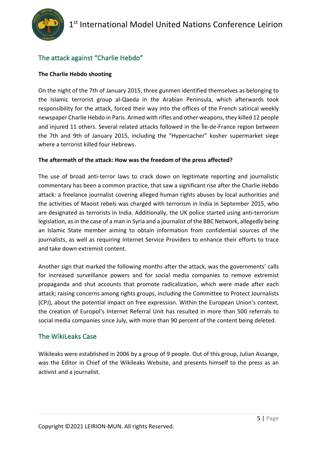## The attack against "Charlie Hebdo"

#### **The Charlie Hebdo shooting**

On the night of the 7th of January 2015, three gunmen identified themselves as belonging to the Islamic terrorist group al-Qaeda in the Arabian Peninsula, which afterwards took responsibility for the attack, forced their way into the offices of the French satirical weekly newspaper Charlie Hebdo in Paris. Armed with rifles and other weapons, they killed 12 people and injured 11 others. Several related attacks followed in the Île-de-France region between the 7th and 9th of January 2015, including the "Hypercacher" kosher supermarket siege where a terrorist killed four Hebrews.

#### **The aftermath of the attack: How was the freedom of the press affected?**

The use of broad anti-terror laws to crack down on legitimate reporting and journalistic commentary has been a common practice, that saw a significant rise after the Charlie Hebdo attack: a freelance journalist covering alleged human rights abuses by local authorities and the activities of Maoist rebels was charged with terrorism in India in September 2015, who are designated as terrorists in India. Additionally, the UK police started using anti-terrorism legislation, as in the case of a man in Syria and a journalist of the BBC Network, allegedly being an Islamic State member aiming to obtain information from confidential sources of the journalists, as well as requiring Internet Service Providers to enhance their efforts to trace and take down extremist content.

Another sign that marked the following months after the attack, was the governments' calls for increased surveillance powers and for social media companies to remove extremist propaganda and shut accounts that promote radicalization, which were made after each attack; raising concerns among rights groups, including the Committee to Protect Journalists (CPJ), about the potential impact on free expression. Within the European Union's context, the creation of Europol's Internet Referral Unit has resulted in more than 500 referrals to social media companies since July, with more than 90 percent of the content being deleted.

#### The WikiLeaks Case

Wikileaks were established in 2006 by a group of 9 people. Out of this group, Julian Assange, was the Editor in Chief of the Wikileaks Website, and presents himself to the press as an activist and a journalist.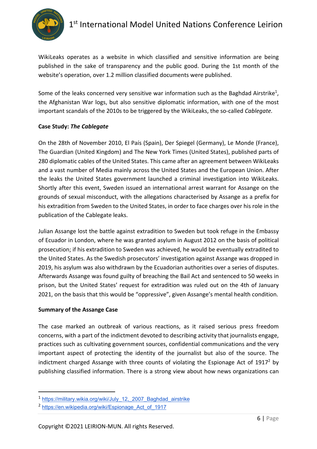

WikiLeaks operates as a website in which classified and sensitive information are being published in the sake of transparency and the public good. During the 1st month of the website's operation, over 1.2 million classified documents were published.

Some of the leaks concerned very sensitive war information such as the Baghdad Airstrike<sup>1</sup>, the Afghanistan War logs, but also sensitive diplomatic information, with one of the most important scandals of the 2010s to be triggered by the WikiLeaks, the so-called *Cablegate.*

#### **Case Study:** *The Cablegate*

On the 28th of November 2010, El País (Spain), Der Spiegel (Germany), Le Monde (France), The Guardian (United Kingdom) and The New York Times (United States), published parts of 280 diplomatic cables of the United States. This came after an agreement between WikiLeaks and a vast number of Media mainly across the United States and the European Union. After the leaks the United States government launched a criminal investigation into WikiLeaks. Shortly after this event, Sweden issued an international arrest warrant for Assange on the grounds of sexual misconduct, with the allegations characterised by Assange as a prefix for his extradition from Sweden to the United States, in order to face charges over his role in the publication of the Cablegate leaks.

Julian Assange lost the battle against extradition to Sweden but took refuge in the Embassy of Ecuador in London, where he was granted asylum in August 2012 on the basis of political prosecution; if his extradition to Sweden was achieved, he would be eventually extradited to the United States. As the Swedish prosecutors' investigation against Assange was dropped in 2019, his asylum was also withdrawn by the Ecuadorian authorities over a series of disputes. Afterwards Assange was found guilty of breaching the Bail Act and sentenced to 50 weeks in prison, but the United States' request for extradition was ruled out on the 4th of January 2021, on the basis that this would be "oppressive", given Assange's mental health condition.

#### **Summary of the Assange Case**

The case marked an outbreak of various reactions, as it raised serious press freedom concerns, with a part of the indictment devoted to describing activity that journalists engage, practices such as cultivating government sources, confidential communications and the very important aspect of protecting the identity of the journalist but also of the source. The indictment charged Assange with three counts of violating the Espionage Act of  $1917<sup>2</sup>$  by publishing classified information. There is a strong view about how news organizations can

<sup>1</sup> https://military.wikia.org/wiki/July\_12,\_2007\_Baghdad\_airstrike

<sup>2</sup> https://en.wikipedia.org/wiki/Espionage\_Act\_of\_1917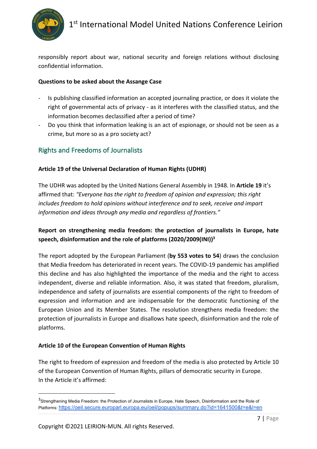

responsibly report about war, national security and foreign relations without disclosing confidential information.

#### **Questions to be asked about the Assange Case**

- Is publishing classified information an accepted journaling practice, or does it violate the right of governmental acts of privacy - as it interferes with the classified status, and the information becomes declassified after a period of time?
- Do you think that information leaking is an act of espionage, or should not be seen as a crime, but more so as a pro society act?

#### Rights and Freedoms of Journalists

#### **Article 19 of the Universal Declaration of Human Rights (UDHR)**

The UDHR was adopted by the United Nations General Assembly in 1948. In **Article 19** it's affirmed that: *"Everyone has the right to freedom of opinion and expression; this right includes freedom to hold opinions without interference and to seek, receive and impart information and ideas through any media and regardless of frontiers."* 

#### **Report on strengthening media freedom: the protection of journalists in Europe, hate speech, disinformation and the role of platforms (2020/2009(INI))3**

The report adopted by the European Parliament (**by 553 votes to 54**) draws the conclusion that Media freedom has deteriorated in recent years. The COVID-19 pandemic has amplified this decline and has also highlighted the importance of the media and the right to access independent, diverse and reliable information. Also, it was stated that freedom, pluralism, independence and safety of journalists are essential components of the right to freedom of expression and information and are indispensable for the democratic functioning of the European Union and its Member States. The resolution strengthens media freedom: the protection of journalists in Europe and disallows hate speech, disinformation and the role of platforms.

#### **Article 10 of the European Convention of Human Rights**

The right to freedom of expression and freedom of the media is also protected by Article 10 of the European Convention of Human Rights, pillars of democratic security in Europe. In the Article it's affirmed:

<sup>&</sup>lt;sup>3</sup>Strengthening Media Freedom: the Protection of Journalists in Europe, Hate Speech, Disinformation and the Role of Platforms: https://oeil.secure.europarl.europa.eu/oeil/popups/summary.do?id=1641500&t=e&l=en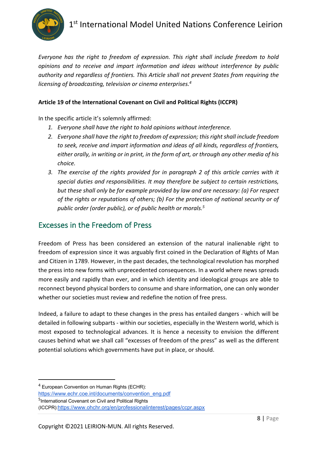

*Everyone has the right to freedom of expression. This right shall include freedom to hold opinions and to receive and impart information and ideas without interference by public authority and regardless of frontiers. This Article shall not prevent States from requiring the licensing of broadcasting, television or cinema enterprises.4*

#### **Article 19 of the International Covenant on Civil and Political Rights (ICCPR)**

In the specific article it's solemnly affirmed:

- *1. Everyone shall have the right to hold opinions without interference.*
- *2. Everyone shall have the right to freedom of expression; this right shall include freedom to seek, receive and impart information and ideas of all kinds, regardless of frontiers, either orally, in writing or in print, in the form of art, or through any other media of his choice.*
- *3. The exercise of the rights provided for in paragraph 2 of this article carries with it special duties and responsibilities. It may therefore be subject to certain restrictions, but these shall only be for example provided by law and are necessary: (a) For respect of the rights or reputations of others; (b) For the protection of national security or of public order (order public), or of public health or morals.5*

## Excesses in the Freedom of Press

Freedom of Press has been considered an extension of the natural inalienable right to freedom of expression since it was arguably first coined in the Declaration of Rights of Man and Citizen in 1789. However, in the past decades, the technological revolution has morphed the press into new forms with unprecedented consequences. In a world where news spreads more easily and rapidly than ever, and in which identity and ideological groups are able to reconnect beyond physical borders to consume and share information, one can only wonder whether our societies must review and redefine the notion of free press.

Indeed, a failure to adapt to these changes in the press has entailed dangers - which will be detailed in following subparts - within our societies, especially in the Western world, which is most exposed to technological advances. It is hence a necessity to envision the different causes behind what we shall call "excesses of freedom of the press" as well as the different potential solutions which governments have put in place, or should.

https://www.echr.coe.int/documents/convention\_eng.pdf

<sup>5</sup>International Covenant on Civil and Political Rights

<sup>4</sup> European Convention on Human Rights (ECHR):

<sup>(</sup>ICCPR):https://www.ohchr.org/en/professionalinterest/pages/ccpr.aspx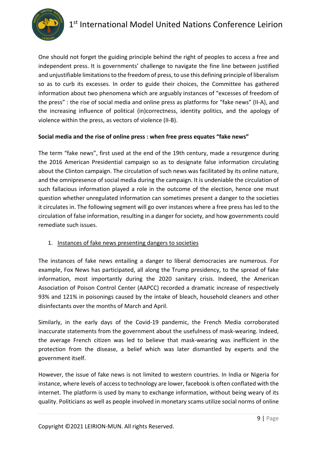

One should not forget the guiding principle behind the right of peoples to access a free and independent press. It is governments' challenge to navigate the fine line between justified and unjustifiable limitations to the freedom of press, to use this defining principle of liberalism so as to curb its excesses. In order to guide their choices, the Committee has gathered information about two phenomena which are arguably instances of "excesses of freedom of the press" : the rise of social media and online press as platforms for "fake news" (II-A), and the increasing influence of political (in)correctness, identity politics, and the apology of violence within the press, as vectors of violence (II-B).

#### **Social media and the rise of online press : when free press equates "fake news"**

The term "fake news", first used at the end of the 19th century, made a resurgence during the 2016 American Presidential campaign so as to designate false information circulating about the Clinton campaign. The circulation of such news was facilitated by its online nature, and the omnipresence of social media during the campaign. It is undeniable the circulation of such fallacious information played a role in the outcome of the election, hence one must question whether unregulated information can sometimes present a danger to the societies it circulates in. The following segment will go over instances where a free press has led to the circulation of false information, resulting in a danger for society, and how governments could remediate such issues.

#### 1. Instances of fake news presenting dangers to societies

The instances of fake news entailing a danger to liberal democracies are numerous. For example, Fox News has participated, all along the Trump presidency, to the spread of fake information, most importantly during the 2020 sanitary crisis. Indeed, the American Association of Poison Control Center (AAPCC) recorded a dramatic increase of respectively 93% and 121% in poisonings caused by the intake of bleach, household cleaners and other disinfectants over the months of March and April.

Similarly, in the early days of the Covid-19 pandemic, the French Media corroborated inaccurate statements from the government about the usefulness of mask-wearing. Indeed, the average French citizen was led to believe that mask-wearing was inefficient in the protection from the disease, a belief which was later dismantled by experts and the government itself.

However, the issue of fake news is not limited to western countries. In India or Nigeria for instance, where levels of access to technology are lower, facebook is often conflated with the internet. The platform is used by many to exchange information, without being weary of its quality. Politicians as well as people involved in monetary scams utilize social norms of online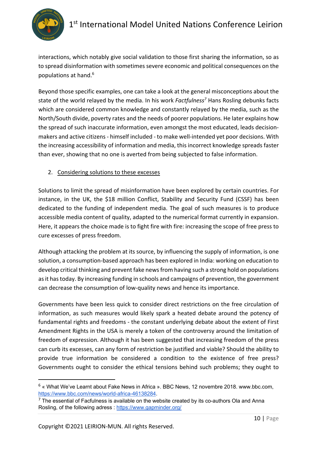

interactions, which notably give social validation to those first sharing the information, so as to spread disinformation with sometimes severe economic and political consequences on the populations at hand.6

Beyond those specific examples, one can take a look at the general misconceptions about the state of the world relayed by the media. In his work *Factfulness<sup>7</sup>* Hans Rosling debunks facts which are considered common knowledge and constantly relayed by the media, such as the North/South divide, poverty rates and the needs of poorer populations. He later explains how the spread of such inaccurate information, even amongst the most educated, leads decisionmakers and active citizens - himself included - to make well-intended yet poor decisions. With the increasing accessibility of information and media, this incorrect knowledge spreads faster than ever, showing that no one is averted from being subjected to false information.

#### 2. Considering solutions to these excesses

Solutions to limit the spread of misinformation have been explored by certain countries. For instance, in the UK, the \$18 million Conflict, Stability and Security Fund (CSSF) has been dedicated to the funding of independent media. The goal of such measures is to produce accessible media content of quality, adapted to the numerical format currently in expansion. Here, it appears the choice made is to fight fire with fire: increasing the scope of free press to cure excesses of press freedom.

Although attacking the problem at its source, by influencing the supply of information, is one solution, a consumption-based approach has been explored in India: working on education to develop critical thinking and prevent fake news from having such a strong hold on populations as it has today. By increasing funding in schools and campaigns of prevention, the government can decrease the consumption of low-quality news and hence its importance.

Governments have been less quick to consider direct restrictions on the free circulation of information, as such measures would likely spark a heated debate around the potency of fundamental rights and freedoms - the constant underlying debate about the extent of First Amendment Rights in the USA is merely a token of the controversy around the limitation of freedom of expression. Although it has been suggested that increasing freedom of the press can curb its excesses, can any form of restriction be justified and viable? Should the ability to provide true information be considered a condition to the existence of free press? Governments ought to consider the ethical tensions behind such problems; they ought to

<sup>6</sup> « What We've Learnt about Fake News in Africa ». BBC News, 12 novembre 2018. www.bbc.com, https://www.bbc.com/news/world-africa-46138284.

 $7$  The essential of Facfulness is available on the website created by its co-authors Ola and Anna Rosling, of the following adress : https://www.gapminder.org/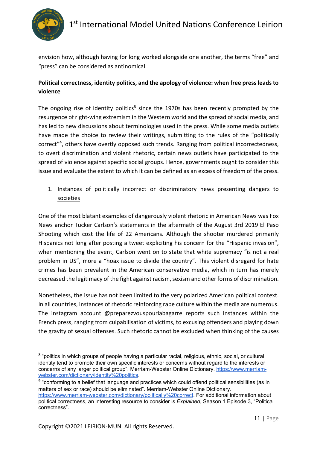

envision how, although having for long worked alongside one another, the terms "free" and "press" can be considered as antinomical.

#### **Political correctness, identity politics, and the apology of violence: when free press leads to violence**

The ongoing rise of identity politics<sup>8</sup> since the 1970s has been recently prompted by the resurgence of right-wing extremism in the Western world and the spread of social media, and has led to new discussions about terminologies used in the press. While some media outlets have made the choice to review their writings, submitting to the rules of the "politically correct<sup>"9</sup>, others have overtly opposed such trends. Ranging from political incorrectedness, to overt discrimination and violent rhetoric, certain news outlets have participated to the spread of violence against specific social groups. Hence, governments ought to consider this issue and evaluate the extent to which it can be defined as an excess of freedom of the press.

#### 1. Instances of politically incorrect or discriminatory news presenting dangers to societies

One of the most blatant examples of dangerously violent rhetoric in American News was Fox News anchor Tucker Carlson's statements in the aftermath of the August 3rd 2019 El Paso Shooting which cost the life of 22 Americans. Although the shooter murdered primarily Hispanics not long after posting a tweet expliciting his concern for the "Hispanic invasion", when mentioning the event, Carlson went on to state that white supremacy "is not a real problem in US", more a "hoax issue to divide the country". This violent disregard for hate crimes has been prevalent in the American conservative media, which in turn has merely decreased the legitimacy of the fight against racism, sexism and other forms of discrimination.

Nonetheless, the issue has not been limited to the very polarized American political context. In all countries, instances of rhetoric reinforcing rape culture within the media are numerous. The instagram account @preparezvouspourlabagarre reports such instances within the French press, ranging from culpabilisation of victims, to excusing offenders and playing down the gravity of sexual offenses. Such rhetoric cannot be excluded when thinking of the causes

<sup>9</sup> "conforming to a belief that language and practices which could offend political sensibilities (as in matters of sex or race) should be eliminated". Merriam-Webster Online Dictionary. https://www.merriam-webster.com/dictionary/politically%20correct. For additional information about political correctness, an interesting resource to consider is *Explained*, Season 1 Episode 3, "Political correctness".

<sup>8</sup> "politics in which groups of people having a particular racial, religious, ethnic, social, or cultural identity tend to promote their own specific interests or concerns without regard to the interests or concerns of any larger political group". Merriam-Webster Online Dictionary. https://www.merriamwebster.com/dictionary/identity%20politics.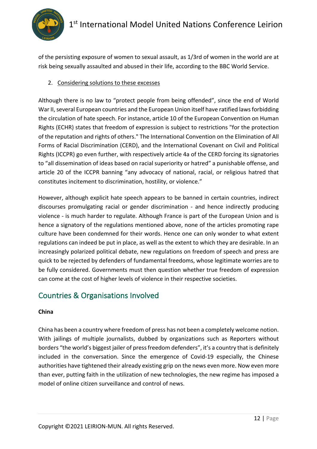

of the persisting exposure of women to sexual assault, as 1/3rd of women in the world are at risk being sexually assaulted and abused in their life, according to the BBC World Service.

#### 2. Considering solutions to these excesses

Although there is no law to "protect people from being offended", since the end of World War II, several European countries and the European Union itself have ratified laws forbidding the circulation of hate speech. For instance, article 10 of the European Convention on Human Rights (ECHR) states that freedom of expression is subject to restrictions "for the protection of the reputation and rights of others." The International Convention on the Elimination of All Forms of Racial Discrimination (CERD), and the International Covenant on Civil and Political Rights (ICCPR) go even further, with respectively article 4a of the CERD forcing its signatories to "all dissemination of ideas based on racial superiority or hatred" a punishable offense, and article 20 of the ICCPR banning "any advocacy of national, racial, or religious hatred that constitutes incitement to discrimination, hostility, or violence."

However, although explicit hate speech appears to be banned in certain countries, indirect discourses promulgating racial or gender discrimination - and hence indirectly producing violence - is much harder to regulate. Although France is part of the European Union and is hence a signatory of the regulations mentioned above, none of the articles promoting rape culture have been condemned for their words. Hence one can only wonder to what extent regulations can indeed be put in place, as well as the extent to which they are desirable. In an increasingly polarized political debate, new regulations on freedom of speech and press are quick to be rejected by defenders of fundamental freedoms, whose legitimate worries are to be fully considered. Governments must then question whether true freedom of expression can come at the cost of higher levels of violence in their respective societies.

## Countries & Organisations Involved

#### **China**

China has been a country where freedom of press has not been a completely welcome notion. With jailings of multiple journalists, dubbed by organizations such as Reporters without borders "the world's biggest jailer of press freedom defenders", it's a country that is definitely included in the conversation. Since the emergence of Covid-19 especially, the Chinese authorities have tightened their already existing grip on the news even more. Now even more than ever, putting faith in the utilization of new technologies, the new regime has imposed a model of online citizen surveillance and control of news.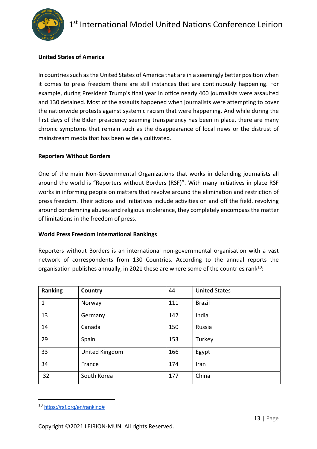

#### **United States of America**

In countries such as the United States of America that are in a seemingly better position when it comes to press freedom there are still instances that are continuously happening. For example, during President Trump's final year in office nearly 400 journalists were assaulted and 130 detained. Most of the assaults happened when journalists were attempting to cover the nationwide protests against systemic racism that were happening. And while during the first days of the Biden presidency seeming transparency has been in place, there are many chronic symptoms that remain such as the disappearance of local news or the distrust of mainstream media that has been widely cultivated.

#### **Reporters Without Borders**

One of the main Non-Governmental Organizations that works in defending journalists all around the world is "Reporters without Borders (RSF)". With many initiatives in place RSF works in informing people on matters that revolve around the elimination and restriction of press freedom. Their actions and initiatives include activities on and off the field. revolving around condemning abuses and religious intolerance, they completely encompass the matter of limitations in the freedom of press.

#### **World Press Freedom International Rankings**

Reporters without Borders is an international non-governmental organisation with a vast network of correspondents from 130 Countries. According to the annual reports the organisation publishes annually, in 2021 these are where some of the countries rank<sup>10</sup>:

| Ranking | Country        | 44  | <b>United States</b> |
|---------|----------------|-----|----------------------|
| 1       | Norway         | 111 | <b>Brazil</b>        |
| 13      | Germany        | 142 | India                |
| 14      | Canada         | 150 | Russia               |
| 29      | Spain          | 153 | Turkey               |
| 33      | United Kingdom | 166 | Egypt                |
| 34      | France         | 174 | Iran                 |
| 32      | South Korea    | 177 | China                |

<sup>10</sup> https://rsf.org/en/ranking#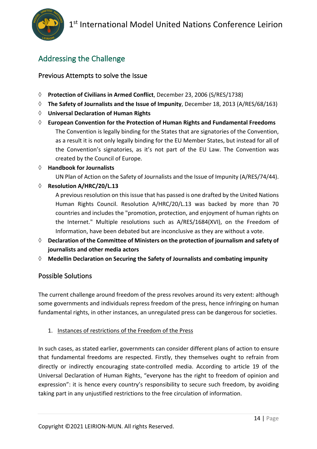

## Addressing the Challenge

#### Previous Attempts to solve the Issue

- à **Protection of Civilians in Armed Conflict**, December 23, 2006 (S/RES/1738)
- à **The Safety of Journalists and the Issue of Impunity**, December 18, 2013 (A/RES/68/163)
- à **Universal Declaration of Human Rights**
- à **European Convention for the Protection of Human Rights and Fundamental Freedoms** The Convention is legally binding for the States that are signatories of the Convention, as a result it is not only legally binding for the EU Member States, but instead for all of the Convention's signatories, as it's not part of the EU Law. The Convention was created by the Council of Europe.
- à **Handbook for Journalists**

UN Plan of Action on the Safety of Journalists and the Issue of Impunity (A/RES/74/44).

à **Resolution A/HRC/20/L.13**

A previous resolution on this issue that has passed is one drafted by the United Nations Human Rights Council. Resolution A/HRC/20/L.13 was backed by more than 70 countries and includes the "promotion, protection, and enjoyment of human rights on the Internet." Multiple resolutions such as A/RES/1684(XVI), on the Freedom of Information, have been debated but are inconclusive as they are without a vote.

- à **Declaration of the Committee of Ministers on the protection of journalism and safety of journalists and other media actors**
- à **Medellin Declaration on Securing the Safety of Journalists and combating impunity**

#### Possible Solutions

The current challenge around freedom of the press revolves around its very extent: although some governments and individuals repress freedom of the press, hence infringing on human fundamental rights, in other instances, an unregulated press can be dangerous for societies.

1. Instances of restrictions of the Freedom of the Press

In such cases, as stated earlier, governments can consider different plans of action to ensure that fundamental freedoms are respected. Firstly, they themselves ought to refrain from directly or indirectly encouraging state-controlled media. According to article 19 of the Universal Declaration of Human Rights, "everyone has the right to freedom of opinion and expression": it is hence every country's responsibility to secure such freedom, by avoiding taking part in any unjustified restrictions to the free circulation of information.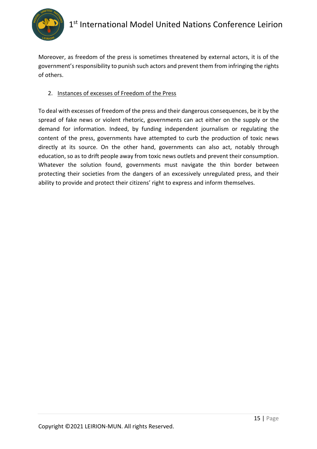

Moreover, as freedom of the press is sometimes threatened by external actors, it is of the government's responsibility to punish such actors and prevent them from infringing the rights of others.

#### 2. Instances of excesses of Freedom of the Press

To deal with excesses of freedom of the press and their dangerous consequences, be it by the spread of fake news or violent rhetoric, governments can act either on the supply or the demand for information. Indeed, by funding independent journalism or regulating the content of the press, governments have attempted to curb the production of toxic news directly at its source. On the other hand, governments can also act, notably through education, so as to drift people away from toxic news outlets and prevent their consumption. Whatever the solution found, governments must navigate the thin border between protecting their societies from the dangers of an excessively unregulated press, and their ability to provide and protect their citizens' right to express and inform themselves.